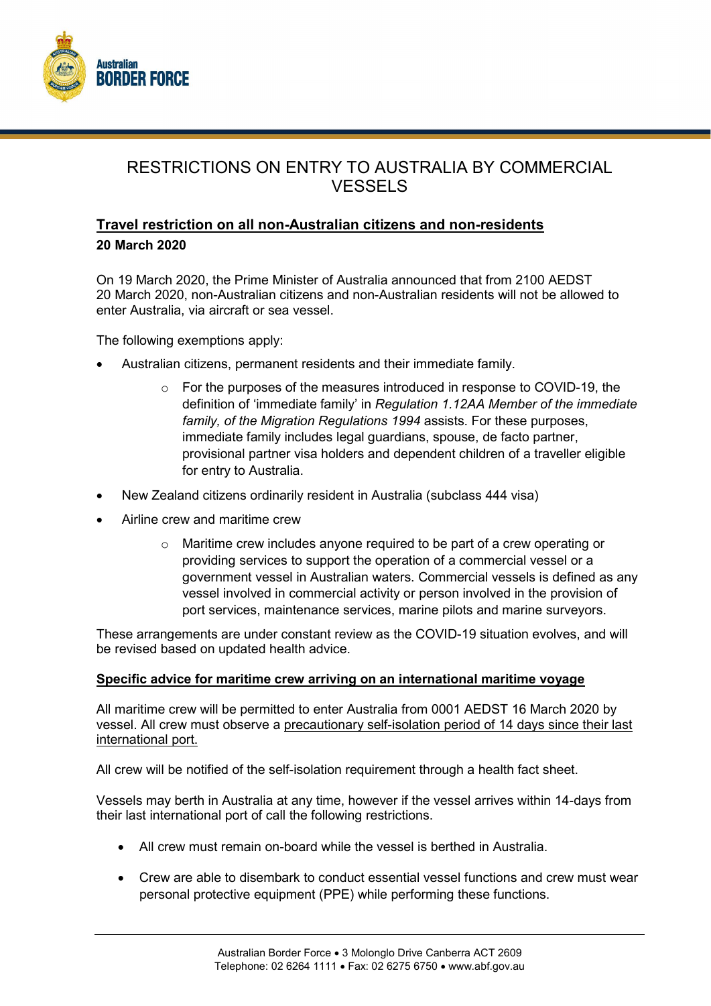

# RESTRICTIONS ON ENTRY TO AUSTRALIA BY COMMERCIAL **VESSELS**

## Travel restriction on all non-Australian citizens and non-residents 20 March 2020

On 19 March 2020, the Prime Minister of Australia announced that from 2100 AEDST 20 March 2020, non-Australian citizens and non-Australian residents will not be allowed to enter Australia, via aircraft or sea vessel.

The following exemptions apply:

- Australian citizens, permanent residents and their immediate family.
	- o For the purposes of the measures introduced in response to COVID-19, the definition of 'immediate family' in Regulation 1.12AA Member of the immediate family, of the Migration Regulations 1994 assists. For these purposes, immediate family includes legal guardians, spouse, de facto partner, provisional partner visa holders and dependent children of a traveller eligible for entry to Australia.
- New Zealand citizens ordinarily resident in Australia (subclass 444 visa)
- Airline crew and maritime crew
	- $\circ$  Maritime crew includes anyone required to be part of a crew operating or providing services to support the operation of a commercial vessel or a government vessel in Australian waters. Commercial vessels is defined as any vessel involved in commercial activity or person involved in the provision of port services, maintenance services, marine pilots and marine surveyors.

These arrangements are under constant review as the COVID-19 situation evolves, and will be revised based on updated health advice.

#### Specific advice for maritime crew arriving on an international maritime voyage

All maritime crew will be permitted to enter Australia from 0001 AEDST 16 March 2020 by vessel. All crew must observe a precautionary self-isolation period of 14 days since their last international port.

All crew will be notified of the self-isolation requirement through a health fact sheet.

Vessels may berth in Australia at any time, however if the vessel arrives within 14-days from their last international port of call the following restrictions.

- All crew must remain on-board while the vessel is berthed in Australia.
- Crew are able to disembark to conduct essential vessel functions and crew must wear personal protective equipment (PPE) while performing these functions.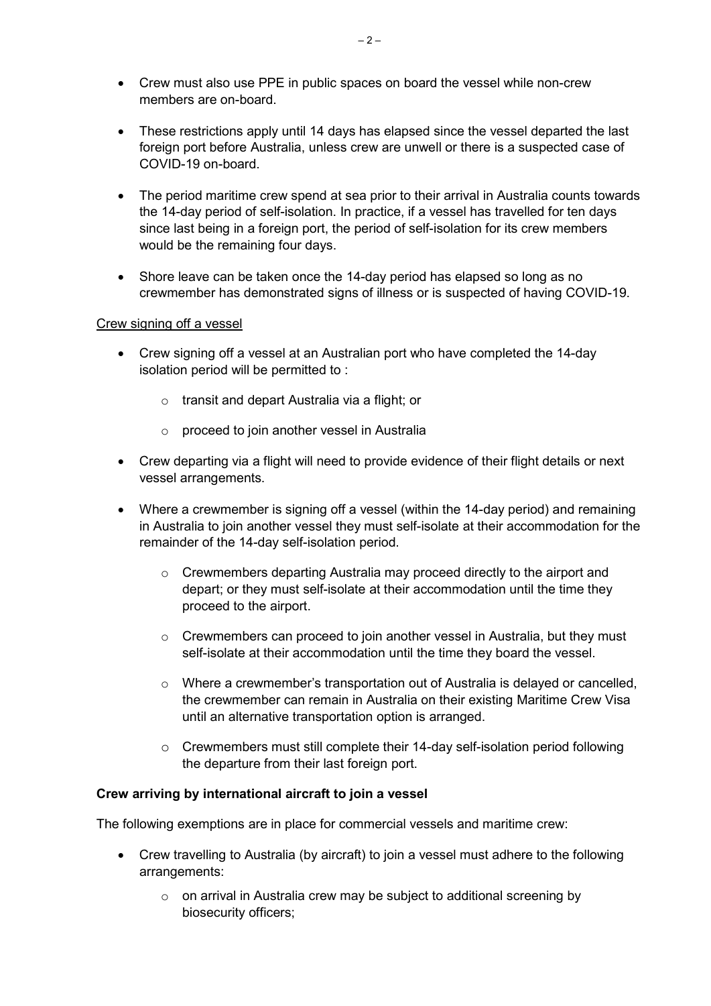- Crew must also use PPE in public spaces on board the vessel while non-crew members are on-board.
- These restrictions apply until 14 days has elapsed since the vessel departed the last foreign port before Australia, unless crew are unwell or there is a suspected case of COVID-19 on-board.
- The period maritime crew spend at sea prior to their arrival in Australia counts towards the 14-day period of self-isolation. In practice, if a vessel has travelled for ten days since last being in a foreign port, the period of self-isolation for its crew members would be the remaining four days.
- Shore leave can be taken once the 14-day period has elapsed so long as no crewmember has demonstrated signs of illness or is suspected of having COVID-19.

## Crew signing off a vessel

- Crew signing off a vessel at an Australian port who have completed the 14-day isolation period will be permitted to :
	- o transit and depart Australia via a flight; or
	- o proceed to join another vessel in Australia
- Crew departing via a flight will need to provide evidence of their flight details or next vessel arrangements.
- Where a crewmember is signing off a vessel (within the 14-day period) and remaining in Australia to join another vessel they must self-isolate at their accommodation for the remainder of the 14-day self-isolation period.
	- $\circ$  Crewmembers departing Australia may proceed directly to the airport and depart; or they must self-isolate at their accommodation until the time they proceed to the airport.
	- $\circ$  Crewmembers can proceed to join another vessel in Australia, but they must self-isolate at their accommodation until the time they board the vessel.
	- $\circ$  Where a crewmember's transportation out of Australia is delayed or cancelled, the crewmember can remain in Australia on their existing Maritime Crew Visa until an alternative transportation option is arranged.
	- $\circ$  Crewmembers must still complete their 14-day self-isolation period following the departure from their last foreign port.

## Crew arriving by international aircraft to join a vessel

The following exemptions are in place for commercial vessels and maritime crew:

- Crew travelling to Australia (by aircraft) to join a vessel must adhere to the following arrangements:
	- o on arrival in Australia crew may be subject to additional screening by biosecurity officers;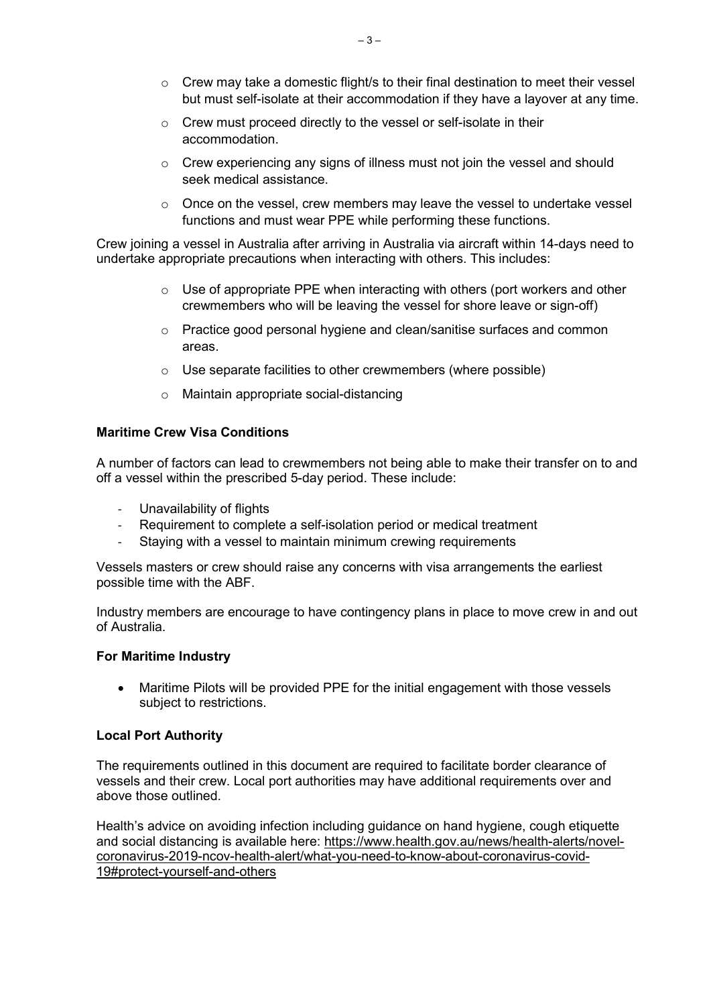- $\circ$  Crew may take a domestic flight/s to their final destination to meet their vessel but must self-isolate at their accommodation if they have a layover at any time.
- o Crew must proceed directly to the vessel or self-isolate in their accommodation.
- o Crew experiencing any signs of illness must not join the vessel and should seek medical assistance.
- $\circ$  Once on the vessel, crew members may leave the vessel to undertake vessel functions and must wear PPE while performing these functions.

Crew joining a vessel in Australia after arriving in Australia via aircraft within 14-days need to undertake appropriate precautions when interacting with others. This includes:

- $\circ$  Use of appropriate PPE when interacting with others (port workers and other crewmembers who will be leaving the vessel for shore leave or sign-off)
- o Practice good personal hygiene and clean/sanitise surfaces and common areas.
- o Use separate facilities to other crewmembers (where possible)
- o Maintain appropriate social-distancing

### Maritime Crew Visa Conditions

A number of factors can lead to crewmembers not being able to make their transfer on to and off a vessel within the prescribed 5-day period. These include:

- Unavailability of flights
- Requirement to complete a self-isolation period or medical treatment
- Staying with a vessel to maintain minimum crewing requirements

Vessels masters or crew should raise any concerns with visa arrangements the earliest possible time with the ABF.

Industry members are encourage to have contingency plans in place to move crew in and out of Australia.

#### For Maritime Industry

 Maritime Pilots will be provided PPE for the initial engagement with those vessels subject to restrictions.

#### Local Port Authority

The requirements outlined in this document are required to facilitate border clearance of vessels and their crew. Local port authorities may have additional requirements over and above those outlined.

Health's advice on avoiding infection including guidance on hand hygiene, cough etiquette and social distancing is available here: https://www.health.gov.au/news/health-alerts/novelcoronavirus-2019-ncov-health-alert/what-you-need-to-know-about-coronavirus-covid-19#protect-yourself-and-others